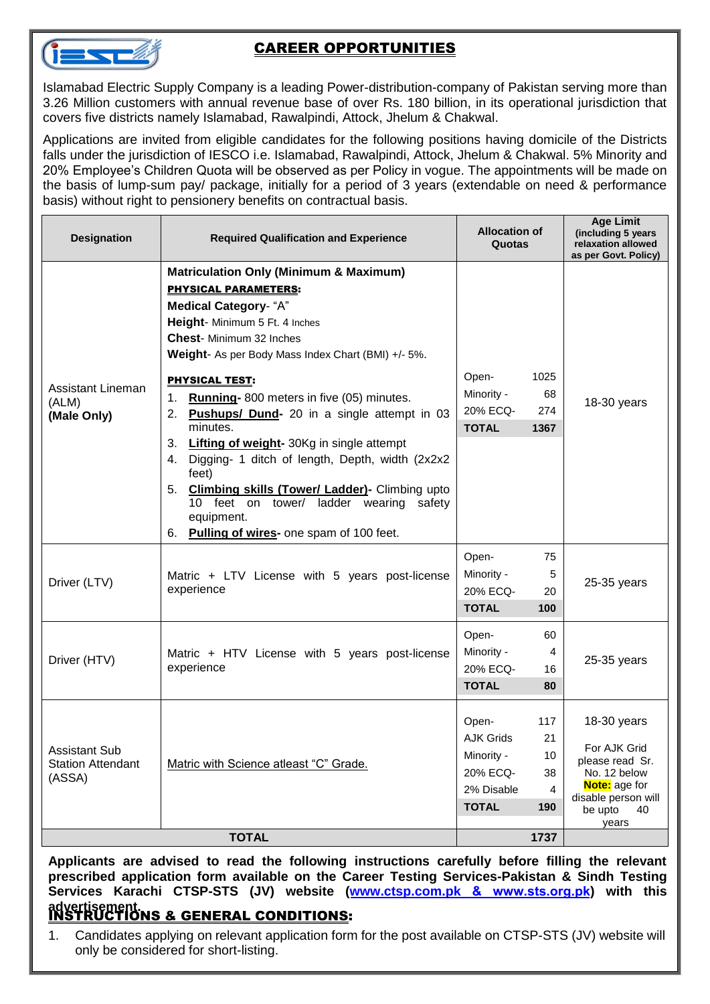

## CAREER OPPORTUNITIES

Islamabad Electric Supply Company is a leading Power-distribution-company of Pakistan serving more than 3.26 Million customers with annual revenue base of over Rs. 180 billion, in its operational jurisdiction that covers five districts namely Islamabad, Rawalpindi, Attock, Jhelum & Chakwal.

Applications are invited from eligible candidates for the following positions having domicile of the Districts falls under the jurisdiction of IESCO i.e. Islamabad, Rawalpindi, Attock, Jhelum & Chakwal. 5% Minority and 20% Employee's Children Quota will be observed as per Policy in vogue. The appointments will be made on the basis of lump-sum pay/ package, initially for a period of 3 years (extendable on need & performance basis) without right to pensionery benefits on contractual basis.

| <b>Designation</b>                                         | <b>Required Qualification and Experience</b>                                                                                                                                                                                                                                                                      | <b>Allocation of</b><br>Quotas                                                    |                                   | <b>Age Limit</b><br>(including 5 years<br>relaxation allowed<br>as per Govt. Policy)                                             |
|------------------------------------------------------------|-------------------------------------------------------------------------------------------------------------------------------------------------------------------------------------------------------------------------------------------------------------------------------------------------------------------|-----------------------------------------------------------------------------------|-----------------------------------|----------------------------------------------------------------------------------------------------------------------------------|
| <b>Assistant Lineman</b><br>(ALM)<br>(Male Only)           | <b>Matriculation Only (Minimum &amp; Maximum)</b><br><b>PHYSICAL PARAMETERS:</b><br><b>Medical Category- "A"</b><br>Height- Minimum 5 Ft. 4 Inches<br>Chest- Minimum 32 Inches<br>Weight- As per Body Mass Index Chart (BMI) +/- 5%.                                                                              |                                                                                   |                                   | 18-30 years                                                                                                                      |
|                                                            | <b>PHYSICAL TEST:</b><br>Running-800 meters in five (05) minutes.<br>1.<br><b>Pushups/ Dund-</b> 20 in a single attempt in 03<br>2.                                                                                                                                                                               | Open-<br>Minority -<br>20% ECQ-                                                   | 1025<br>68<br>274                 |                                                                                                                                  |
|                                                            | minutes.<br>3.<br><b>Lifting of weight-</b> 30Kg in single attempt<br>Digging- 1 ditch of length, Depth, width (2x2x2)<br>4.<br>feet)<br><b>Climbing skills (Tower/ Ladder)- Climbing upto</b><br>5.<br>feet on tower/ ladder wearing safety<br>10<br>equipment.<br>Pulling of wires- one spam of 100 feet.<br>6. | <b>TOTAL</b>                                                                      | 1367                              |                                                                                                                                  |
| Driver (LTV)                                               | Matric + LTV License with 5 years post-license<br>experience                                                                                                                                                                                                                                                      | Open-<br>Minority -<br>20% ECQ-<br><b>TOTAL</b>                                   | 75<br>5<br>20<br>100              | 25-35 years                                                                                                                      |
| Driver (HTV)                                               | Matric + HTV License with 5 years post-license<br>experience                                                                                                                                                                                                                                                      | Open-<br>Minority -<br>20% ECQ-<br><b>TOTAL</b>                                   | 60<br>4<br>16<br>80               | 25-35 years                                                                                                                      |
| <b>Assistant Sub</b><br><b>Station Attendant</b><br>(ASSA) | Matric with Science atleast "C" Grade.                                                                                                                                                                                                                                                                            | Open-<br><b>AJK Grids</b><br>Minority -<br>20% ECQ-<br>2% Disable<br><b>TOTAL</b> | 117<br>21<br>10<br>38<br>4<br>190 | 18-30 years<br>For AJK Grid<br>please read Sr.<br>No. 12 below<br>Note: age for<br>disable person will<br>40<br>be upto<br>years |
| <b>TOTAL</b>                                               |                                                                                                                                                                                                                                                                                                                   |                                                                                   | 1737                              |                                                                                                                                  |

**Applicants are advised to read the following instructions carefully before filling the relevant prescribed application form available on the Career Testing Services-Pakistan & Sindh Testing Services Karachi CTSP-STS (JV) we[bsite \(www.ctsp.co](http://www.ctsp.com.pk/)m.pk & www.sts.org.pk) with this**

## **advertisement.** INSTRUCTIONS & GENERAL CONDITIONS:

1. Candidates applying on relevant application form for the post available on CTSP-STS (JV) website will only be considered for short-listing.